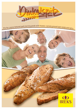